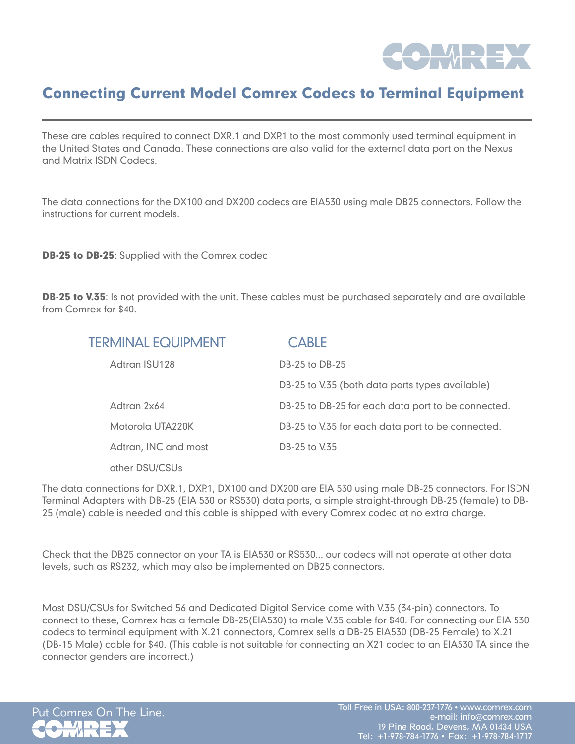

# Connecting Current Model Comrex Codecs to Terminal Equipment

These are cables required to connect DXR.1 and DXP.1 to the most commonly used terminal equipment in the United States and Canada. These connections are also valid for the external data port on the Nexus and Matrix ISDN Codecs.

The data connections for the DX100 and DX200 codecs are EIA530 using male DB25 connectors. Follow the instructions for current models.

**DB-25 to DB-25:** Supplied with the Comrex codec

**DB-25 to V.35**: Is not provided with the unit. These cables must be purchased separately and are available from Comrex for \$40.

| <b>TERMINAL EQUIPMENT</b> | <b>CABLE</b>                                       |
|---------------------------|----------------------------------------------------|
| Adtran ISU128             | DB-25 to DB-25                                     |
|                           | DB-25 to V.35 (both data ports types available)    |
| Adtran 2x64               | DB-25 to DB-25 for each data port to be connected. |
| Motorola UTA220K          | DB-25 to V.35 for each data port to be connected.  |
| Adtran, INC and most      | DB-25 to V.35                                      |
| other DSU/CSUs            |                                                    |

The data connections for DXR.1, DXP.1, DX100 and DX200 are EIA 530 using male DB-25 connectors. For ISDN Terminal Adapters with DB-25 (EIA 530 or RS530) data ports, a simple straight-through DB-25 (female) to DB-25 (male) cable is needed and this cable is shipped with every Comrex codec at no extra charge.

Check that the DB25 connector on your TA is EIA530 or RS530... our codecs will not operate at other data levels, such as RS232, which may also be implemented on DB25 connectors.

Most DSU/CSUs for Switched 56 and Dedicated Digital Service come with V.35 (34-pin) connectors. To connect to these, Comrex has a female DB-25(EIA530) to male V.35 cable for \$40. For connecting our EIA 530 codecs to terminal equipment with X.21 connectors, Comrex sells a DB-25 EIA530 (DB-25 Female) to X.21 (DB-15 Male) cable for \$40. (This cable is not suitable for connecting an X21 codec to an EIA530 TA since the connector genders are incorrect.)

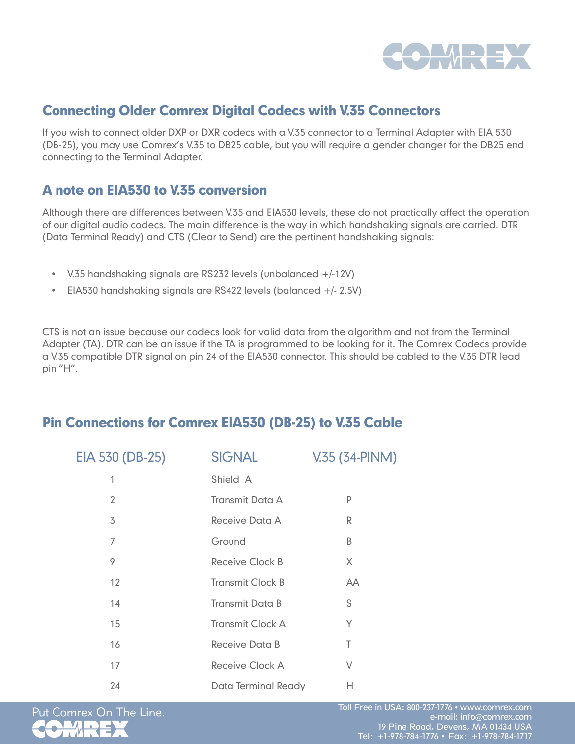

#### Connecting Older Comrex Digital Codecs with V.35 Connectors

If you wish to connect older DXP or DXR codecs with a V.35 connector to a Terminal Adapter with EIA 530 (DB-25), you may use Comrex's V.35 to DB25 cable, but you will require a gender changer for the DB25 end connecting to the Terminal Adapter.

#### A note on EIA530 to V.35 conversion

Although there are differences between V.35 and EIA530 levels, these do not practically affect the operation of our digital audio codecs. The main difference is the way in which handshaking signals are carried. DTR (Data Terminal Ready) and CTS (Clear to Send) are the pertinent handshaking signals:

- • V.35 handshaking signals are RS232 levels (unbalanced +/-12V)
- EIA530 handshaking signals are RS422 levels (balanced  $+/- 2.5V$ )

CTS is not an issue because our codecs look for valid data from the algorithm and not from the Terminal Adapter (TA). DTR can be an issue if the TA is programmed to be looking for it. The Comrex Codecs provide a V.35 compatible DTR signal on pin 24 of the EIA530 connector. This should be cabled to the V.35 DTR lead pin "H".

### Pin Connections for Comrex EIA530 (DB-25) to V.35 Cable

| EIA 530 (DB-25) | <b>SIGNAL</b>           | V.35 (34-PINM) |
|-----------------|-------------------------|----------------|
| 1               | Shield A                |                |
| 2               | <b>Transmit Data A</b>  | P              |
| 3               | Receive Data A          | R              |
| 7               | Ground                  | B              |
| 9               | Receive Clock B         | X              |
| 12              | <b>Transmit Clock B</b> | <b>AA</b>      |
| 14              | <b>Transmit Data B</b>  | S              |
| 15              | <b>Transmit Clock A</b> | Y              |
| 16              | Receive Data B          | T              |
| 17              | Receive Clock A         | V              |
| 24              | Data Terminal Ready     | Н              |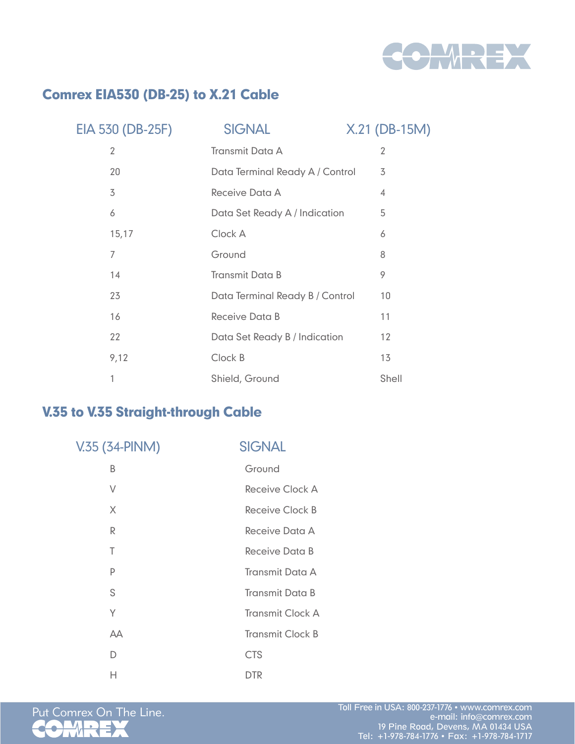

### Comrex EIA530 (DB-25) to X.21 Cable

| EIA 530 (DB-25F) | <b>SIGNAL</b>                   | X.21 (DB-15M) |
|------------------|---------------------------------|---------------|
| 2                | <b>Transmit Data A</b>          | 2             |
| 20               | Data Terminal Ready A / Control | 3             |
| 3                | Receive Data A                  | 4             |
| 6                | Data Set Ready A / Indication   | 5             |
| 15, 17           | Clock A                         | 6             |
| 7                | Ground                          | 8             |
| 14               | <b>Transmit Data B</b>          | 9             |
| 23               | Data Terminal Ready B / Control | 10            |
| 16               | Receive Data B                  | 11            |
| 22               | Data Set Ready B / Indication   | 12            |
| 9,12             | Clock B                         | 13            |
| 1                | Shield, Ground                  | Shell         |

## V.35 to V.35 Straight-through Cable

| V.35 (34-PINM) | <b>SIGNAL</b>           |
|----------------|-------------------------|
| B              | Ground                  |
| V              | Receive Clock A         |
| X              | Receive Clock B         |
| R              | Receive Data A          |
| T              | Receive Data B          |
| P              | <b>Transmit Data A</b>  |
| S              | <b>Transmit Data B</b>  |
| Υ              | <b>Transmit Clock A</b> |
| AA             | <b>Transmit Clock B</b> |
| D              | <b>CTS</b>              |
| н              | <b>DTR</b>              |